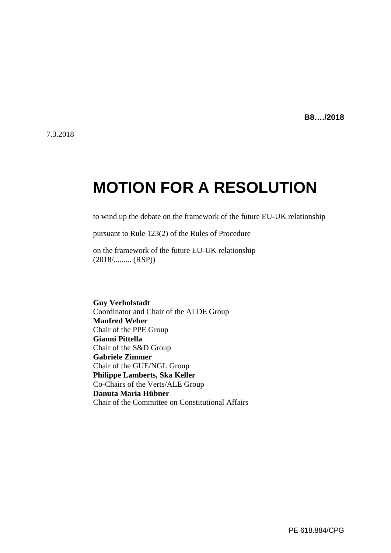**B8…./2018**

# **MOTION FOR A RESOLUTION**

to wind up the debate on the framework of the future EU-UK relationship

pursuant to Rule 123(2) of the Rules of Procedure

on the framework of the future EU-UK relationship (2018/......... (RSP))

**Guy Verhofstadt** Coordinator and Chair of the ALDE Group **Manfred Weber** Chair of the PPE Group **Gianni Pittella** Chair of the S&D Group **Gabriele Zimmer** Chair of the GUE/NGL Group **Philippe Lamberts, Ska Keller** Co-Chairs of the Verts/ALE Group **Danuta Maria Hübner** Chair of the Committee on Constitutional Affairs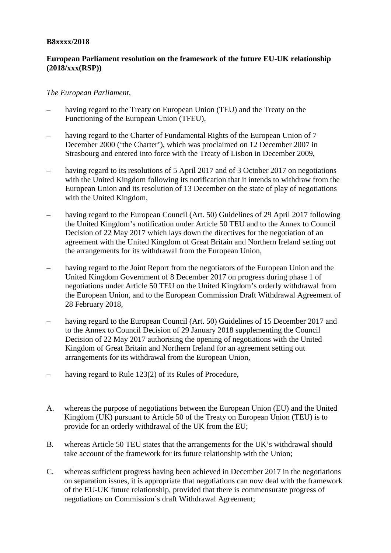#### **B8xxxx/2018**

## **European Parliament resolution on the framework of the future EU-UK relationship (2018/xxx(RSP))**

#### *The European Parliament*,

- having regard to the Treaty on European Union (TEU) and the Treaty on the Functioning of the European Union (TFEU),
- having regard to the Charter of Fundamental Rights of the European Union of 7 December 2000 ('the Charter'), which was proclaimed on 12 December 2007 in Strasbourg and entered into force with the Treaty of Lisbon in December 2009,
- having regard to its resolutions of 5 April 2017 and of 3 October 2017 on negotiations with the United Kingdom following its notification that it intends to withdraw from the European Union and its resolution of 13 December on the state of play of negotiations with the United Kingdom,
- having regard to the European Council (Art. 50) Guidelines of 29 April 2017 following the United Kingdom's notification under Article 50 TEU and to the Annex to Council Decision of 22 May 2017 which lays down the directives for the negotiation of an agreement with the United Kingdom of Great Britain and Northern Ireland setting out the arrangements for its withdrawal from the European Union,
- having regard to the Joint Report from the negotiators of the European Union and the United Kingdom Government of 8 December 2017 on progress during phase 1 of negotiations under Article 50 TEU on the United Kingdom's orderly withdrawal from the European Union, and to the European Commission Draft Withdrawal Agreement of 28 February 2018,
- having regard to the European Council (Art. 50) Guidelines of 15 December 2017 and to the Annex to Council Decision of 29 January 2018 supplementing the Council Decision of 22 May 2017 authorising the opening of negotiations with the United Kingdom of Great Britain and Northern Ireland for an agreement setting out arrangements for its withdrawal from the European Union,
- having regard to Rule 123(2) of its Rules of Procedure,
- A. whereas the purpose of negotiations between the European Union (EU) and the United Kingdom (UK) pursuant to Article 50 of the Treaty on European Union (TEU) is to provide for an orderly withdrawal of the UK from the EU;
- B. whereas Article 50 TEU states that the arrangements for the UK's withdrawal should take account of the framework for its future relationship with the Union;
- C. whereas sufficient progress having been achieved in December 2017 in the negotiations on separation issues, it is appropriate that negotiations can now deal with the framework of the EU-UK future relationship, provided that there is commensurate progress of negotiations on Commission´s draft Withdrawal Agreement;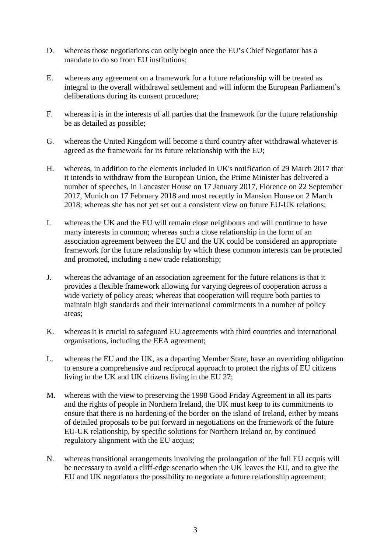- D. whereas those negotiations can only begin once the EU's Chief Negotiator has a mandate to do so from EU institutions;
- E. whereas any agreement on a framework for a future relationship will be treated as integral to the overall withdrawal settlement and will inform the European Parliament's deliberations during its consent procedure;
- F. whereas it is in the interests of all parties that the framework for the future relationship be as detailed as possible;
- G. whereas the United Kingdom will become a third country after withdrawal whatever is agreed as the framework for its future relationship with the EU;
- H. whereas, in addition to the elements included in UK's notification of 29 March 2017 that it intends to withdraw from the European Union, the Prime Minister has delivered a number of speeches, in Lancaster House on 17 January 2017, Florence on 22 September 2017, Munich on 17 February 2018 and most recently in Mansion House on 2 March 2018; whereas she has not yet set out a consistent view on future EU-UK relations;
- I. whereas the UK and the EU will remain close neighbours and will continue to have many interests in common; whereas such a close relationship in the form of an association agreement between the EU and the UK could be considered an appropriate framework for the future relationship by which these common interests can be protected and promoted, including a new trade relationship;
- J. whereas the advantage of an association agreement for the future relations is that it provides a flexible framework allowing for varying degrees of cooperation across a wide variety of policy areas; whereas that cooperation will require both parties to maintain high standards and their international commitments in a number of policy areas;
- K. whereas it is crucial to safeguard EU agreements with third countries and international organisations, including the EEA agreement;
- L. whereas the EU and the UK, as a departing Member State, have an overriding obligation to ensure a comprehensive and reciprocal approach to protect the rights of EU citizens living in the UK and UK citizens living in the EU  $27$ ;
- M. whereas with the view to preserving the 1998 Good Friday Agreement in all its parts and the rights of people in Northern Ireland, the UK must keep to its commitments to ensure that there is no hardening of the border on the island of Ireland, either by means of detailed proposals to be put forward in negotiations on the framework of the future EU-UK relationship, by specific solutions for Northern Ireland or, by continued regulatory alignment with the EU acquis;
- N. whereas transitional arrangements involving the prolongation of the full EU acquis will be necessary to avoid a cliff-edge scenario when the UK leaves the EU, and to give the EU and UK negotiators the possibility to negotiate a future relationship agreement;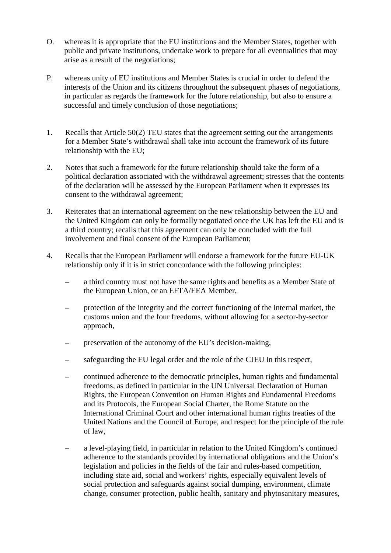- O. whereas it is appropriate that the EU institutions and the Member States, together with public and private institutions, undertake work to prepare for all eventualities that may arise as a result of the negotiations;
- P. whereas unity of EU institutions and Member States is crucial in order to defend the interests of the Union and its citizens throughout the subsequent phases of negotiations, in particular as regards the framework for the future relationship, but also to ensure a successful and timely conclusion of those negotiations;
- 1. Recalls that Article  $50(2)$  TEU states that the agreement setting out the arrangements for a Member State's withdrawal shall take into account the framework of its future relationship with the EU;
- 2. Notes that such a framework for the future relationship should take the form of a political declaration associated with the withdrawal agreement; stresses that the contents of the declaration will be assessed by the European Parliament when it expresses its consent to the withdrawal agreement;
- 3. Reiterates that an international agreement on the new relationship between the EU and the United Kingdom can only be formally negotiated once the UK has left the EU and is a third country; recalls that this agreement can only be concluded with the full involvement and final consent of the European Parliament;
- 4. Recalls that the European Parliament will endorse a framework for the future EU-UK relationship only if it is in strict concordance with the following principles:
	- a third country must not have the same rights and benefits as a Member State of the European Union, or an EFTA/EEA Member,
	- protection of the integrity and the correct functioning of the internal market, the customs union and the four freedoms, without allowing for a sector-by-sector approach,
	- preservation of the autonomy of the EU's decision-making,
	- safeguarding the EU legal order and the role of the CJEU in this respect,
	- continued adherence to the democratic principles, human rights and fundamental freedoms, as defined in particular in the UN Universal Declaration of Human Rights, the European Convention on Human Rights and Fundamental Freedoms and its Protocols, the European Social Charter, the Rome Statute on the International Criminal Court and other international human rights treaties of the United Nations and the Council of Europe, and respect for the principle of the rule of law,
	- a level-playing field, in particular in relation to the United Kingdom's continued adherence to the standards provided by international obligations and the Union's legislation and policies in the fields of the fair and rules-based competition, including state aid, social and workers' rights, especially equivalent levels of social protection and safeguards against social dumping, environment, climate change, consumer protection, public health, sanitary and phytosanitary measures,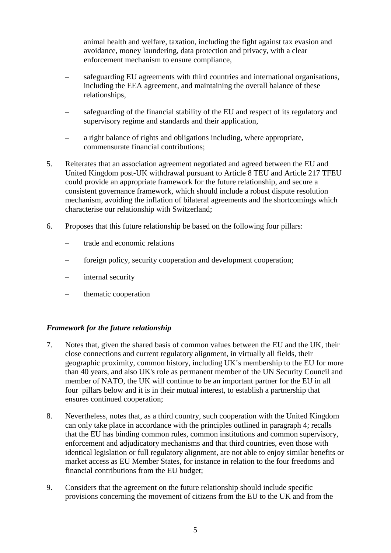animal health and welfare, taxation, including the fight against tax evasion and avoidance, money laundering, data protection and privacy, with a clear enforcement mechanism to ensure compliance,

- safeguarding EU agreements with third countries and international organisations, including the EEA agreement, and maintaining the overall balance of these relationships,
- safeguarding of the financial stability of the EU and respect of its regulatory and supervisory regime and standards and their application,
- a right balance of rights and obligations including, where appropriate, commensurate financial contributions;
- 5. Reiterates that an association agreement negotiated and agreed between the EU and United Kingdom post-UK withdrawal pursuant to Article 8 TEU and Article 217 TFEU could provide an appropriate framework for the future relationship, and secure a consistent governance framework, which should include a robust dispute resolution mechanism, avoiding the inflation of bilateral agreements and the shortcomings which characterise our relationship with Switzerland;
- 6. Proposes that this future relationship be based on the following four pillars:
	- trade and economic relations
	- foreign policy, security cooperation and development cooperation;
	- internal security
	- thematic cooperation

## *Framework for the future relationship*

- 7. Notes that, given the shared basis of common values between the EU andthe UK, their close connections and current regulatory alignment, in virtually all fields, their geographic proximity, common history, including UK's membership to the EU for more than 40 years, and also UK's role as permanent member of the UN Security Council and member of NATO, the UK will continue to be an important partner for the EU in all four pillars below and it is in their mutual interest, to establish a partnership that ensures continued cooperation;
- 8. Nevertheless, notes that, as a third country, such cooperation with the United Kingdom can only take place in accordance with the principles outlined in paragraph 4; recalls that the EU has binding common rules, common institutions and common supervisory, enforcement and adjudicatory mechanisms and that third countries, even those with identical legislation or full regulatory alignment, are not able to enjoy similar benefits or market access as EU Member States, for instance in relation to the four freedoms and financial contributions from the EU budget;
- 9. Considers that the agreement on the future relationship should include specific provisions concerning the movement of citizens from the EU to the UK and from the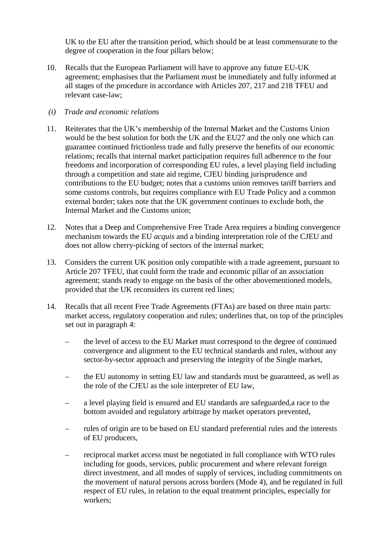UK to the EU after the transition period, which should be at least commensurate to the degree of cooperation in the four pillars below;

- 10. Recalls that the European Parliament will have to approve any future EU-UK agreement; emphasises that the Parliament must be immediately and fully informed at all stages of the procedure in accordance with Articles 207, 217 and 218 TFEU and relevant case-law;
- *(i) Trade and economic relations*
- 11. Reiterates that the UK's membership of the Internal Market and the Customs Union would be the best solution for both the UK and the EU27 and the only one which can guarantee continued frictionless trade and fully preserve the benefits of our economic relations; recalls that internal market participation requires full adherence to the four freedoms and incorporation of corresponding EU rules, a level playing field including through a competition and state aid regime, CJEU binding jurisprudence and contributions to the EU budget; notes that a customs union removes tariff barriers and some customs controls, but requires compliance with EU Trade Policy and a common external border; takes note that the UK government continues to exclude both, the Internal Market and the Customs union;
- 12. Notes that a Deep and Comprehensive Free Trade Area requires a binding convergence mechanism towards the EU *acquis* and a binding interpretation role of the CJEU and does not allow cherry-picking of sectors of the internal market;
- 13. Considers the current UK position only compatible with a trade agreement, pursuant to Article 207 TFEU, that could form the trade and economic pillar of an association agreement; stands ready to engage on the basis of the other abovementioned models, provided that the UK reconsiders its current red lines;
- 14. Recalls that all recent Free Trade Agreements (FTAs) are based on three main parts: market access, regulatory cooperation and rules; underlines that, on top of the principles set out in paragraph 4:
	- the level of access to the EU Market must correspond to the degree of continued convergence and alignment to the EU technical standards and rules, without any sector-by-sector approach and preserving the integrity of the Single market,
	- the EU autonomy in setting EU law and standards must be guaranteed, as well as the role of the CJEU as the sole interpreter of EU law,
	- a level playing field is ensured and EU standards are safeguarded,a race to the bottom avoided and regulatory arbitrage by market operators prevented,
	- rules of origin are to be based on EU standard preferential rules and the interests of EU producers,
	- reciprocal market access must be negotiated in full compliance with WTO rules including for goods, services, public procurement and where relevant foreign direct investment, and all modes of supply of services, including commitments on the movement of natural persons across borders (Mode 4), and be regulated in full respect of EU rules, in relation to the equal treatment principles, especially for workers;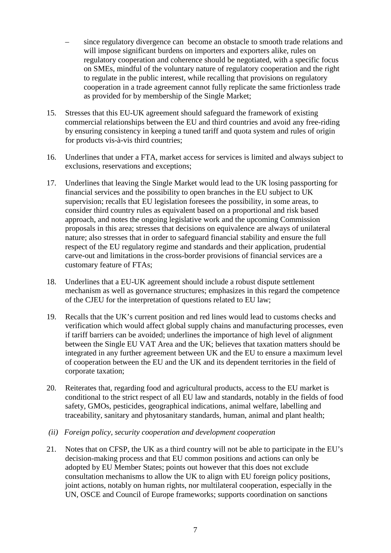- since regulatory divergence can become an obstacle to smooth trade relations and will impose significant burdens on importers and exporters alike, rules on regulatory cooperation and coherence should be negotiated, with a specific focus on SMEs, mindful of the voluntary nature of regulatory cooperation and the right to regulate in the public interest, while recalling that provisions on regulatory cooperation in a trade agreement cannot fully replicate the same frictionless trade as provided for by membership of the Single Market;
- 15. Stresses that this EU-UK agreement should safeguard the framework of existing commercial relationships between the EU and third countries and avoid any free-riding by ensuring consistency in keeping a tuned tariff and quota system and rules of origin for products vis-à-vis third countries;
- 16. Underlines that under a FTA, market access for services is limited and always subject to exclusions, reservations and exceptions;
- 17. Underlines that leaving the Single Market would lead to the UK losing passporting for financial services and the possibility to open branches in the EU subject to UK supervision; recalls that EU legislation foresees the possibility, in some areas, to consider third country rules as equivalent based on a proportional and risk based approach, and notes the ongoing legislative work and the upcoming Commission proposals in this area; stresses that decisions on equivalence are always of unilateral nature; also stresses that in order to safeguard financial stability and ensure the full respect of the EU regulatory regime and standards and their application, prudential carve-out and limitations in the cross-border provisions of financial services are a customary feature of FTAs;
- 18. Underlines that a EU-UK agreement should include a robust dispute settlement mechanism as well as governance structures; emphasizes in this regard the competence of the CJEU for the interpretation of questions related to EU law;
- 19. Recalls that the UK's current position and red lines would lead to customs checks and verification which would affect global supply chains and manufacturing processes, even if tariff barriers can be avoided; underlines the importance of high level of alignment between the Single EU VAT Area and the UK; believes that taxation matters should be integrated in any further agreement between UK and the EU to ensure a maximum level of cooperation between the EU and the UK and its dependent territories in the field of corporate taxation;
- 20. Reiterates that, regarding food and agricultural products, access to the EU market is conditional to the strict respect of all EU law and standards, notably in the fields of food safety, GMOs, pesticides, geographical indications, animal welfare, labelling and traceability, sanitary and phytosanitary standards, human, animal and plant health;
- *(ii) Foreign policy, security cooperation and development cooperation*
- 21. Notes that on CFSP, the UK as a third country will not be able to participate in the EU's decision-making process and that EU common positions and actions can only be adopted by EU Member States; points out however that this does not exclude consultation mechanisms to allow the UK to align with EU foreign policy positions, joint actions, notably on human rights, nor multilateral cooperation, especially in the UN, OSCE and Council of Europe frameworks; supports coordination on sanctions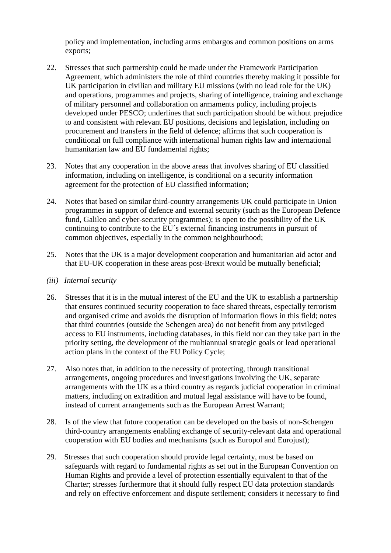policy and implementation, including arms embargos and common positions on arms exports;

- 22. Stresses that such partnership could be made under the Framework Participation Agreement, which administers the role of third countries thereby making it possible for UK participation in civilian and military EU missions (with no lead role for the UK) and operations, programmes and projects, sharing of intelligence, training and exchange of military personnel and collaboration on armaments policy, including projects developed under PESCO; underlines that such participation should be without prejudice to and consistent with relevant EU positions, decisions and legislation, including on procurement and transfers in the field of defence; affirms that such cooperation is conditional on full compliance with international human rights law and international humanitarian law and EU fundamental rights;
- 23. Notes that any cooperation in the above areas that involves sharing of EU classified information, including on intelligence, is conditional on a security information agreement for the protection of EU classified information;
- 24. Notes that based on similar third-country arrangements UK could participate in Union programmes in support of defence and external security (such as the European Defence fund, Galileo and cyber-security programmes); is open to the possibility of the UK continuing to contribute to the EU´s external financing instruments in pursuit of common objectives, especially in the common neighbourhood;
- 25. Notes that the UK is a major development cooperation and humanitarian aid actor and that EU-UK cooperation in these areas post-Brexit would be mutually beneficial;
- *(iii) Internal security*
- 26. Stresses that it is in the mutual interest of the EU and the UK to establish a partnership that ensures continued security cooperation to face shared threats, especially terrorism and organised crime and avoids the disruption of information flows in this field; notes that third countries (outside the Schengen area) do not benefit from any privileged access to EU instruments, including databases, in this field nor can they take part in the priority setting, the development of the multiannual strategic goals or lead operational action plans in the context of the EU Policy Cycle;
- 27. Also notes that, in addition to the necessity of protecting, through transitional arrangements, ongoing procedures and investigations involving the UK, separate arrangements with the UK as a third country as regards judicial cooperation in criminal matters, including on extradition and mutual legal assistance will have to be found, instead of current arrangements such as the European Arrest Warrant;
- 28. Is of the view that future cooperation can be developed on the basis of non-Schengen third-country arrangements enabling exchange of security-relevant data and operational cooperation with EU bodies and mechanisms (such as Europol and Eurojust);
- 29. Stresses that such cooperation should provide legal certainty, must be based on safeguards with regard to fundamental rights as set out in the European Convention on Human Rights and provide a level of protection essentially equivalent to that of the Charter; stresses furthermore that it should fully respect EU data protection standards and rely on effective enforcement and dispute settlement; considers it necessary to find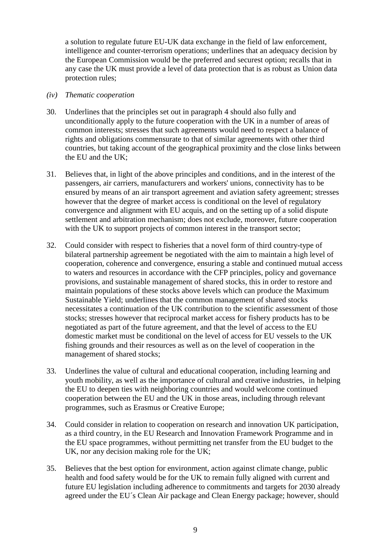a solution to regulate future EU-UK data exchange in the field of law enforcement, intelligence and counter-terrorism operations; underlines that an adequacy decision by the European Commission would be the preferred and securest option; recalls that in any case the UK must provide a level of data protection that is as robust as Union data protection rules;

#### *(iv) Thematic cooperation*

- 30. Underlines that the principles set out in paragraph 4 should also fully and unconditionally apply to the future cooperation with the UK in a number of areas of common interests; stresses that such agreements would need to respect a balance of rights and obligations commensurate to that of similar agreements with other third countries, but taking account of the geographical proximity and the close links between the EU and the UK;
- 31. Believes that, in light of the above principles and conditions, and in the interest of the passengers, air carriers, manufacturers and workers' unions, connectivity has to be ensured by means of an air transport agreement and aviation safety agreement; stresses however that the degree of market access is conditional on the level of regulatory convergence and alignment with EU acquis, and on the setting up of a solid dispute settlement and arbitration mechanism; does not exclude, moreover, future cooperation with the UK to support projects of common interest in the transport sector;
- 32. Could consider with respect to fisheries that a novel form of third country-type of bilateral partnership agreement be negotiated with the aim to maintain a high level of cooperation, coherence and convergence, ensuring a stable and continued mutual access to waters and resources in accordance with the CFP principles, policy and governance provisions, and sustainable management of shared stocks, this in order to restore and maintain populations of these stocks above levels which can produce the Maximum Sustainable Yield; underlines that the common management of shared stocks necessitates a continuation of the UK contribution to the scientific assessment of those stocks; stresses however that reciprocal market access for fishery products has to be negotiated as part of the future agreement, and that the level of access to the EU domestic market must be conditional on the level of access for EU vessels to the UK fishing grounds and their resources as well as on the level of cooperation in the management of shared stocks;
- 33. Underlines the value of cultural and educational cooperation, including learning and youth mobility, as well as the importance of cultural and creative industries, in helping the EU to deepen ties with neighboring countries and would welcome continued cooperation between the EU and the UK in those areas, including through relevant programmes, such as Erasmus or Creative Europe;
- 34. Could consider in relation to cooperation on research and innovation UK participation, as a third country, in the EU Research and Innovation Framework Programme and in the EU space programmes, without permitting net transfer from the EU budget to the UK, nor any decision making role for the UK;
- 35. Believes that the best option for environment, action against climate change, public health and food safety would be for the UK to remain fully aligned with current and future EU legislation including adherence to commitments and targets for 2030 already agreed under the EU´s Clean Air package and Clean Energy package; however, should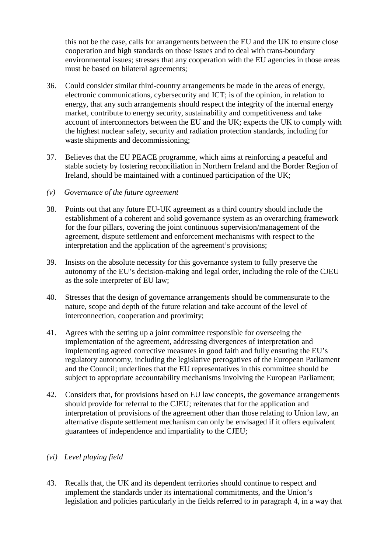this not be the case, calls for arrangements between the EU and the UK to ensure close cooperation and high standards on those issues and to deal with trans-boundary environmental issues; stresses that any cooperation with the EU agencies in those areas must be based on bilateral agreements;

- 36. Could consider similar third-country arrangements be made in the areas of energy, electronic communications, cybersecurity and ICT; is of the opinion, in relation to energy, that any such arrangements should respect the integrity of the internal energy market, contribute to energy security, sustainability and competitiveness and take account of interconnectors between the EU and the UK; expects the UK to comply with the highest nuclear safety, security and radiation protection standards, including for waste shipments and decommissioning;
- 37. Believes that the EU PEACE programme, which aims at reinforcing a peaceful and stable society by fostering reconciliation in Northern Ireland and the Border Region of Ireland, should be maintained with a continued participation of the UK;
- *(v) Governance of the future agreement*
- 38. Points out that any future EU-UK agreement as a third country should include the establishment of a coherent and solid governance system as an overarching framework for the four pillars, covering the joint continuous supervision/management of the agreement, dispute settlement and enforcement mechanisms with respect to the interpretation and the application of the agreement's provisions;
- 39. Insists on the absolute necessity for this governance system to fully preserve the autonomy of the EU's decision-making and legal order, including the role of the CJEU as the sole interpreter of EU law;
- 40. Stresses that the design of governance arrangements should be commensurate to the nature, scope and depth of the future relation and take account of the level of interconnection, cooperation and proximity;
- 41. Agrees with the setting up a joint committee responsible for overseeing the implementation of the agreement, addressing divergences of interpretation and implementing agreed corrective measures in good faith and fully ensuring the EU's regulatory autonomy, including the legislative prerogatives of the European Parliament and the Council; underlines that the EU representatives in this committee should be subject to appropriate accountability mechanisms involving the European Parliament;
- 42. Considers that, for provisions based on EU law concepts, the governance arrangements should provide for referral to the CJEU; reiterates that for the application and interpretation of provisions of the agreement other than those relating to Union law, an alternative dispute settlement mechanism can only be envisaged if it offers equivalent guarantees of independence and impartiality to the CJEU;

## *(vi) Level playing field*

43. Recalls that, the UK and its dependent territories should continue to respect and implement the standards under its international commitments, and the Union's legislation and policies particularly in the fields referred to in paragraph 4, in a way that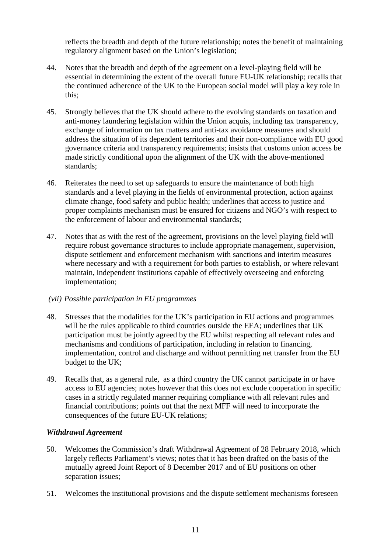reflects the breadth and depth of the future relationship; notes the benefit of maintaining regulatory alignment based on the Union's legislation;

- 44. Notes that the breadth and depth of the agreement on a level-playing field will be essential in determining the extent of the overall future EU-UK relationship; recalls that the continued adherence of the UK to the European social model will play a key role in this;
- 45. Strongly believes that the UK should adhere to the evolving standards on taxation and anti-money laundering legislation within the Union acquis, including tax transparency, exchange of information on tax matters and anti-tax avoidance measures and should address the situation of its dependent territories and their non-compliance with EU good governance criteria and transparency requirements; insists that customs union access be made strictly conditional upon the alignment of the UK with the above-mentioned standards;
- 46. Reiterates the need to set up safeguards to ensure the maintenance of both high standards and a level playing in the fields of environmental protection, action against climate change, food safety and public health; underlines that access to justice and proper complaints mechanism must be ensured for citizens and NGO's with respect to the enforcement of labour and environmental standards;
- 47. Notes that as with the rest of the agreement, provisions on the level playing field will require robust governance structures to include appropriate management, supervision, dispute settlement and enforcement mechanism with sanctions and interim measures where necessary and with a requirement for both parties to establish, or where relevant maintain, independent institutions capable of effectively overseeing and enforcing implementation;
- *(vii) Possible participation in EU programmes*
- 48. Stresses that the modalities for the UK's participation in EU actions and programmes will be the rules applicable to third countries outside the EEA; underlines that UK participation must be jointly agreed by the EU whilst respecting all relevant rules and mechanisms and conditions of participation, including in relation to financing, implementation, control and discharge and without permitting net transfer from the EU budget to the UK;
- 49. Recalls that, as a general rule, as a third country the UK cannot participate in or have access to EU agencies; notes however that this does not exclude cooperation in specific cases in a strictly regulated manner requiring compliance with all relevant rules and financial contributions; points out that the next MFF will need to incorporate the consequences of the future EU-UK relations;

## *Withdrawal Agreement*

- 50. Welcomes the Commission's draft Withdrawal Agreement of 28 February 2018, which largely reflects Parliament's views; notes that it has been drafted on the basis of the mutually agreed Joint Report of 8 December 2017 and of EU positions on other separation issues;
- 51. Welcomes the institutional provisions and the dispute settlement mechanisms foreseen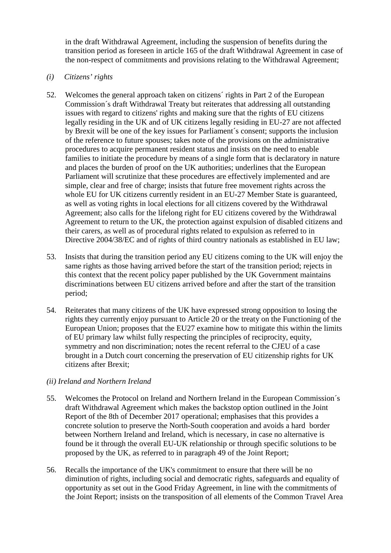in the draft Withdrawal Agreement, including the suspension of benefits during the transition period as foreseen in article 165 of the draft Withdrawal Agreement in case of the non-respect of commitments and provisions relating to the Withdrawal Agreement;

## *(i) Citizens' rights*

- 52. Welcomes the general approach taken on citizens´ rights in Part 2 of the European Commission´s draft Withdrawal Treaty but reiterates that addressing all outstanding issues with regard to citizens' rights and making sure that the rights of EU citizens legally residing in the UK and of UK citizens legally residing in EU-27 are not affected by Brexit will be one of the key issues for Parliament´s consent; supports the inclusion of the reference to future spouses; takes note of the provisions on the administrative procedures to acquire permanent resident status and insists on the need to enable families to initiate the procedure by means of a single form that is declaratory in nature and places the burden of proof on the UK authorities; underlines that the European Parliament will scrutinize that these procedures are effectively implemented and are simple, clear and free of charge; insists that future free movement rights across the whole EU for UK citizens currently resident in an EU-27 Member State is guaranteed, as well as voting rights in local elections for all citizens covered by the Withdrawal Agreement; also calls for the lifelong right for EU citizens covered by the Withdrawal Agreement to return to the UK, the protection against expulsion of disabled citizens and their carers, as well as of procedural rights related to expulsion as referred to in Directive 2004/38/EC and of rights of third country nationals as established in EU law;
- 53. Insists that during the transition period any EU citizens coming to the UK will enjoy the same rights as those having arrived before the start of the transition period; rejects in this context that the recent policy paper published by the UK Government maintains discriminations between EU citizens arrived before and after the start of the transition period;
- 54. Reiterates that many citizens of the UK have expressed strong opposition to losing the rights they currently enjoy pursuant to Article 20 or the treaty on the Functioning of the European Union; proposes that the EU27 examine how to mitigate this within the limits of EU primary law whilst fully respecting the principles of reciprocity, equity, symmetry and non discrimination; notes the recent referral to the CJEU of a case brought in a Dutch court concerning the preservation of EU citizenship rights for UK citizens after Brexit;

## *(ii) Ireland and Northern Ireland*

- 55. Welcomes the Protocol on Ireland and Northern Ireland in the European Commission´s draft Withdrawal Agreement which makes the backstop option outlined in the Joint Report of the 8th of December 2017 operational; emphasises that this provides a concrete solution to preserve the North-South cooperation and avoids a hard border between Northern Ireland and Ireland, which is necessary, in case no alternative is found be it through the overall EU-UK relationship or through specific solutions to be proposed by the UK, as referred to in paragraph 49 of the Joint Report;
- 56. Recalls the importance of the UK's commitment to ensure that there will be no diminution of rights, including social and democratic rights, safeguards and equality of opportunity as set out in the Good Friday Agreement, in line with the commitments of the Joint Report; insists on the transposition of all elements of the Common Travel Area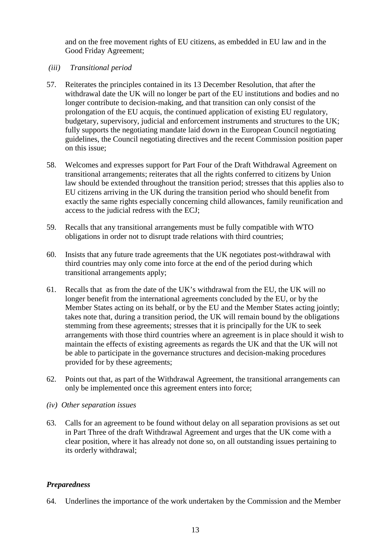and on the free movement rights of EU citizens, as embedded in EU law and in the Good Friday Agreement;

*(iii) Transitional period*

- 57. Reiterates the principles contained in its 13 December Resolution, that after the withdrawal date the UK will no longer be part of the EU institutions and bodies and no longer contribute to decision-making, and that transition can only consist of the prolongation of the EU acquis, the continued application of existing EU regulatory, budgetary, supervisory, judicial and enforcement instruments and structures to the UK; fully supports the negotiating mandate laid down in the European Council negotiating guidelines, the Council negotiating directives and the recent Commission position paper on this issue;
- 58. Welcomes and expresses support for Part Four of the Draft Withdrawal Agreement on transitional arrangements; reiterates that all the rights conferred to citizens by Union law should be extended throughout the transition period; stresses that this applies also to EU citizens arriving in the UK during the transition period who should benefit from exactly the same rights especially concerning child allowances, family reunification and access to the judicial redress with the ECJ;
- 59. Recalls that any transitional arrangements must be fully compatible with WTO obligations in order not to disrupt trade relations with third countries;
- 60. Insists that any future trade agreements that the UK negotiates post-withdrawal with third countries may only come into force at the end of the period during which transitional arrangements apply;
- 61. Recalls that as from the date of the UK's withdrawal from the EU, the UK will no longer benefit from the international agreements concluded by the EU, or by the Member States acting on its behalf, or by the EU and the Member States acting jointly; takes note that, during a transition period, the UK will remain bound by the obligations stemming from these agreements; stresses that it is principally for the UK to seek arrangements with those third countries where an agreement is in place should it wish to maintain the effects of existing agreements as regards the UK and that the UK will not be able to participate in the governance structures and decision-making procedures provided for by these agreements;
- 62. Points out that, as part of the Withdrawal Agreement, the transitional arrangements can only be implemented once this agreement enters into force;
- *(iv) Other separation issues*
- 63. Calls for an agreement to be found without delay on all separation provisions as set out in Part Three of the draft Withdrawal Agreement and urges that the UK come with a clear position, where it has already not done so, on all outstanding issues pertaining to its orderly withdrawal;

## *Preparedness*

64. Underlines the importance of the work undertaken by the Commission and the Member